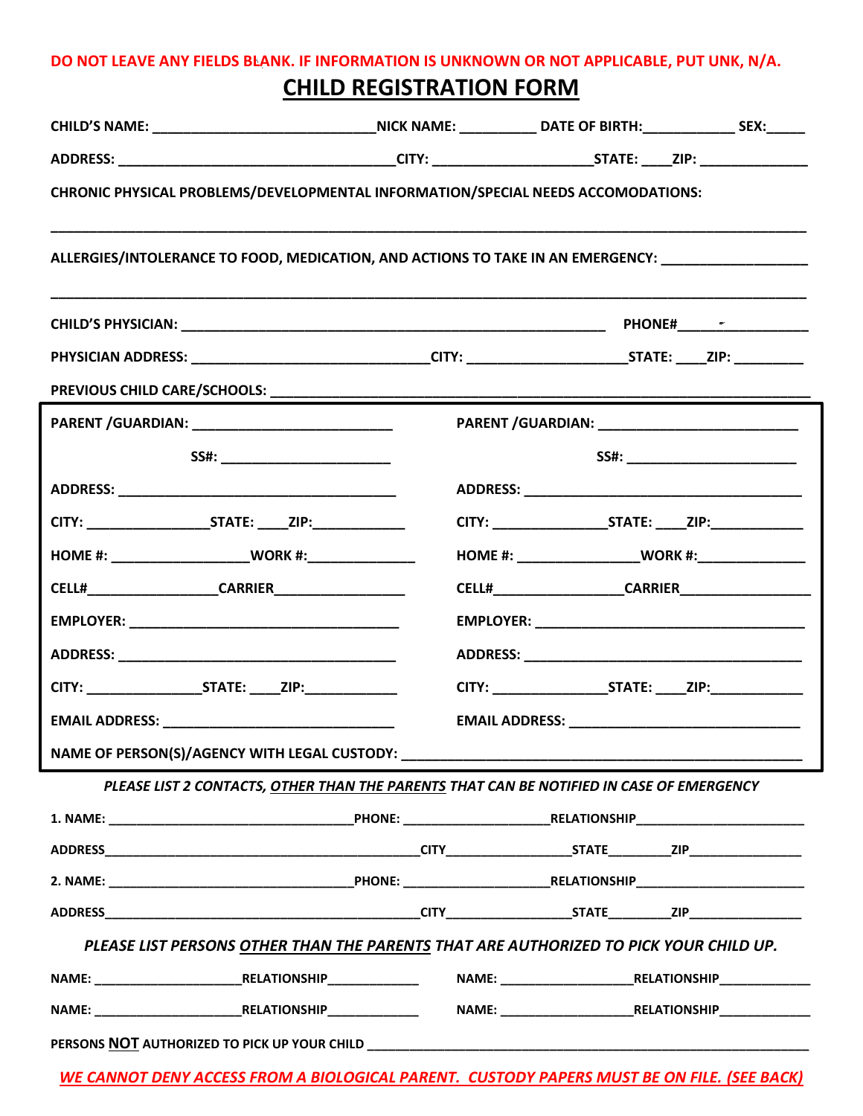## **DO NOT LEAVE ANY FIELDS BLANK. IF INFORMATION IS UNKNOWN OR NOT APPLICABLE, PUT UNK, N/A. CHILD REGISTRATION FORM**

| ALLERGIES/INTOLERANCE TO FOOD, MEDICATION, AND ACTIONS TO TAKE IN AN EMERGENCY: ___________________<br>PHYSICIAN ADDRESS: _________________________________CITY: _______________________STATE: _____ZIP: ___________<br>PARENT /GUARDIAN: ____________________________<br>HOME #: _______________________WORK #:__________________<br>EMAIL ADDRESS: New York State State State State State State State State State State State State State State State State State State State State State State State State State State State State State State State State State<br>PLEASE LIST 2 CONTACTS, OTHER THAN THE PARENTS THAT CAN BE NOTIFIED IN CASE OF EMERGENCY<br>PLEASE LIST PERSONS OTHER THAN THE PARENTS THAT ARE AUTHORIZED TO PICK YOUR CHILD UP. | CHILD'S NAME: ___________________________________NICK NAME: ____________ DATE OF BIRTH: _________________ SEX:______ |  |  |  |  |  |  |
|----------------------------------------------------------------------------------------------------------------------------------------------------------------------------------------------------------------------------------------------------------------------------------------------------------------------------------------------------------------------------------------------------------------------------------------------------------------------------------------------------------------------------------------------------------------------------------------------------------------------------------------------------------------------------------------------------------------------------------------------------------|----------------------------------------------------------------------------------------------------------------------|--|--|--|--|--|--|
|                                                                                                                                                                                                                                                                                                                                                                                                                                                                                                                                                                                                                                                                                                                                                          |                                                                                                                      |  |  |  |  |  |  |
|                                                                                                                                                                                                                                                                                                                                                                                                                                                                                                                                                                                                                                                                                                                                                          | CHRONIC PHYSICAL PROBLEMS/DEVELOPMENTAL INFORMATION/SPECIAL NEEDS ACCOMODATIONS:                                     |  |  |  |  |  |  |
|                                                                                                                                                                                                                                                                                                                                                                                                                                                                                                                                                                                                                                                                                                                                                          |                                                                                                                      |  |  |  |  |  |  |
|                                                                                                                                                                                                                                                                                                                                                                                                                                                                                                                                                                                                                                                                                                                                                          |                                                                                                                      |  |  |  |  |  |  |
|                                                                                                                                                                                                                                                                                                                                                                                                                                                                                                                                                                                                                                                                                                                                                          |                                                                                                                      |  |  |  |  |  |  |
|                                                                                                                                                                                                                                                                                                                                                                                                                                                                                                                                                                                                                                                                                                                                                          |                                                                                                                      |  |  |  |  |  |  |
|                                                                                                                                                                                                                                                                                                                                                                                                                                                                                                                                                                                                                                                                                                                                                          |                                                                                                                      |  |  |  |  |  |  |
|                                                                                                                                                                                                                                                                                                                                                                                                                                                                                                                                                                                                                                                                                                                                                          |                                                                                                                      |  |  |  |  |  |  |
|                                                                                                                                                                                                                                                                                                                                                                                                                                                                                                                                                                                                                                                                                                                                                          |                                                                                                                      |  |  |  |  |  |  |
|                                                                                                                                                                                                                                                                                                                                                                                                                                                                                                                                                                                                                                                                                                                                                          |                                                                                                                      |  |  |  |  |  |  |
|                                                                                                                                                                                                                                                                                                                                                                                                                                                                                                                                                                                                                                                                                                                                                          |                                                                                                                      |  |  |  |  |  |  |
|                                                                                                                                                                                                                                                                                                                                                                                                                                                                                                                                                                                                                                                                                                                                                          |                                                                                                                      |  |  |  |  |  |  |
|                                                                                                                                                                                                                                                                                                                                                                                                                                                                                                                                                                                                                                                                                                                                                          |                                                                                                                      |  |  |  |  |  |  |
|                                                                                                                                                                                                                                                                                                                                                                                                                                                                                                                                                                                                                                                                                                                                                          |                                                                                                                      |  |  |  |  |  |  |
|                                                                                                                                                                                                                                                                                                                                                                                                                                                                                                                                                                                                                                                                                                                                                          |                                                                                                                      |  |  |  |  |  |  |
|                                                                                                                                                                                                                                                                                                                                                                                                                                                                                                                                                                                                                                                                                                                                                          |                                                                                                                      |  |  |  |  |  |  |
|                                                                                                                                                                                                                                                                                                                                                                                                                                                                                                                                                                                                                                                                                                                                                          |                                                                                                                      |  |  |  |  |  |  |
|                                                                                                                                                                                                                                                                                                                                                                                                                                                                                                                                                                                                                                                                                                                                                          |                                                                                                                      |  |  |  |  |  |  |
|                                                                                                                                                                                                                                                                                                                                                                                                                                                                                                                                                                                                                                                                                                                                                          |                                                                                                                      |  |  |  |  |  |  |
|                                                                                                                                                                                                                                                                                                                                                                                                                                                                                                                                                                                                                                                                                                                                                          |                                                                                                                      |  |  |  |  |  |  |
|                                                                                                                                                                                                                                                                                                                                                                                                                                                                                                                                                                                                                                                                                                                                                          |                                                                                                                      |  |  |  |  |  |  |
|                                                                                                                                                                                                                                                                                                                                                                                                                                                                                                                                                                                                                                                                                                                                                          |                                                                                                                      |  |  |  |  |  |  |
|                                                                                                                                                                                                                                                                                                                                                                                                                                                                                                                                                                                                                                                                                                                                                          |                                                                                                                      |  |  |  |  |  |  |
|                                                                                                                                                                                                                                                                                                                                                                                                                                                                                                                                                                                                                                                                                                                                                          |                                                                                                                      |  |  |  |  |  |  |
|                                                                                                                                                                                                                                                                                                                                                                                                                                                                                                                                                                                                                                                                                                                                                          |                                                                                                                      |  |  |  |  |  |  |
|                                                                                                                                                                                                                                                                                                                                                                                                                                                                                                                                                                                                                                                                                                                                                          |                                                                                                                      |  |  |  |  |  |  |

*WE CANNOT DENY ACCESS FROM A BIOLOGICAL PARENT. CUSTODY PAPERS MUST BE ON FILE. (SEE BACK)*